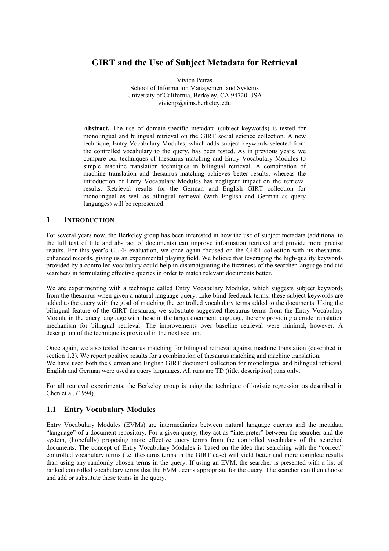# **GIRT and the Use of Subject Metadata for Retrieval**

Vivien Petras School of Information Management and Systems University of California, Berkeley, CA 94720 USA vivienp@sims.berkeley.edu

**Abstract.** The use of domain-specific metadata (subject keywords) is tested for monolingual and bilingual retrieval on the GIRT social science collection. A new technique, Entry Vocabulary Modules, which adds subject keywords selected from the controlled vocabulary to the query, has been tested. As in previous years, we compare our techniques of thesaurus matching and Entry Vocabulary Modules to simple machine translation techniques in bilingual retrieval. A combination of machine translation and thesaurus matching achieves better results, whereas the introduction of Entry Vocabulary Modules has negligent impact on the retrieval results. Retrieval results for the German and English GIRT collection for monolingual as well as bilingual retrieval (with English and German as query languages) will be represented.

#### **1 INTRODUCTION**

For several years now, the Berkeley group has been interested in how the use of subject metadata (additional to the full text of title and abstract of documents) can improve information retrieval and provide more precise results. For this year's CLEF evaluation, we once again focused on the GIRT collection with its thesaurusenhanced records, giving us an experimental playing field. We believe that leveraging the high-quality keywords provided by a controlled vocabulary could help in disambiguating the fuzziness of the searcher language and aid searchers in formulating effective queries in order to match relevant documents better.

We are experimenting with a technique called Entry Vocabulary Modules, which suggests subject keywords from the thesaurus when given a natural language query. Like blind feedback terms, these subject keywords are added to the query with the goal of matching the controlled vocabulary terms added to the documents. Using the bilingual feature of the GIRT thesaurus, we substitute suggested thesaurus terms from the Entry Vocabulary Module in the query language with those in the target document language, thereby providing a crude translation mechanism for bilingual retrieval. The improvements over baseline retrieval were minimal, however. A description of the technique is provided in the next section.

Once again, we also tested thesaurus matching for bilingual retrieval against machine translation (described in section 1.2). We report positive results for a combination of the saurus matching and machine translation. We have used both the German and English GIRT document collection for monolingual and bilingual retrieval. English and German were used as query languages. All runs are TD (title, description) runs only.

For all retrieval experiments, the Berkeley group is using the technique of logistic regression as described in Chen et al. (1994).

### **1.1 Entry Vocabulary Modules**

Entry Vocabulary Modules (EVMs) are intermediaries between natural language queries and the metadata "language" of a document repository. For a given query, they act as "interpreter" between the searcher and the system, (hopefully) proposing more effective query terms from the controlled vocabulary of the searched documents. The concept of Entry Vocabulary Modules is based on the idea that searching with the "correct" controlled vocabulary terms (i.e. thesaurus terms in the GIRT case) will yield better and more complete results than using any randomly chosen terms in the query. If using an EVM, the searcher is presented with a list of ranked controlled vocabulary terms that the EVM deems appropriate for the query. The searcher can then choose and add or substitute these terms in the query.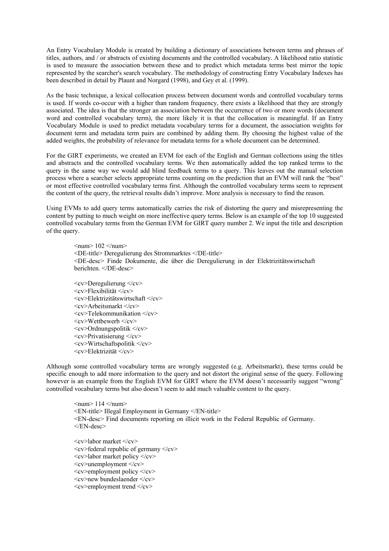An Entry Vocabulary Module is created by building a dictionary of associations between terms and phrases of titles, authors, and / or abstracts of existing documents and the controlled vocabulary. A likelihood ratio statistic is used to measure the association between these and to predict which metadata terms best mirror the topic represented by the searcher's search vocabulary. The methodology of constructing Entry Vocabulary Indexes has been described in detail by Plaunt and Norgard (1998), and Gey et al. (1999).

As the basic technique, a lexical collocation process between document words and controlled vocabulary terms is used. If words co-occur with a higher than random frequency, there exists a likelihood that they are strongly associated. The idea is that the stronger an association between the occurrence of two or more words (document word and controlled vocabulary term), the more likely it is that the collocation is meaningful. If an Entry Vocabulary Module is used to predict metadata vocabulary terms for a document, the association weights for document term and metadata term pairs are combined by adding them. By choosing the highest value of the added weights, the probability of relevance for metadata terms for a whole document can be determined.

For the GIRT experiments, we created an EVM for each of the English and German collections using the titles and abstracts and the controlled vocabulary terms. We then automatically added the top ranked terms to the query in the same way we would add blind feedback terms to a query. This leaves out the manual selection process where a searcher selects appropriate terms counting on the prediction that an EVM will rank the "best" or most effective controlled vocabulary terms first. Although the controlled vocabulary terms seem to represent the content of the query, the retrieval results didn't improve. More analysis is necessary to find the reason.

Using EVMs to add query terms automatically carries the risk of distorting the query and misrepresenting the content by putting to much weight on more ineffective query terms. Below is an example of the top 10 suggested controlled vocabulary terms from the German EVM for GIRT query number 2. We input the title and description of the query.

 $\langle$ num $>$  102 $\langle$ /num $>$ <DE-title> Deregulierung des Strommarktes </DE-title> <DE-desc> Finde Dokumente, die über die Deregulierung in der Elektrizitätswirtschaft berichten. </DE-desc>

 $\langle cv \rangle$ Deregulierung  $\langle cv \rangle$ <cv>Flexibilität </cv> <cv>Elektrizitätswirtschaft </cv>  $<$ cv>Arbeitsmarkt  $<$ /cv> <cv>Telekommunikation </cv> <cv>Wettbewerb </cv>  $\langle cv \rangle$ Ordnungspolitik  $\langle cv \rangle$  $<$ cv>Privatisierung  $<$ /cv>  $\langle cv \rangle$ Wirtschaftspolitik  $\langle cv \rangle$ <cv>Elektrizität </cv>

Although some controlled vocabulary terms are wrongly suggested (e.g. Arbeitsmarkt), these terms could be specific enough to add more information to the query and not distort the original sense of the query. Following however is an example from the English EVM for GIRT where the EVM doesn't necessarily suggest "wrong" controlled vocabulary terms but also doesn't seem to add much valuable content to the query.

 $\langle$ num $>$  114 $\langle$ num $>$ <EN-title> Illegal Employment in Germany </EN-title> <EN-desc> Find documents reporting on illicit work in the Federal Republic of Germany. </EN-desc>  $<$ cv>labor market  $<$ /cv>

 $\langle cv \rangle$  federal republic of germany  $\langle cv \rangle$  $\langle cv \rangle$ labor market policy  $\langle cv \rangle$  $\langle cv \rangle$ unemployment  $\langle cv \rangle$  $\langle cv \rangle$  employment policy  $\langle cv \rangle$  $\langle cv \rangle$ new bundeslaender  $\langle cv \rangle$  $\langle cv \rangle$  employment trend  $\langle cv \rangle$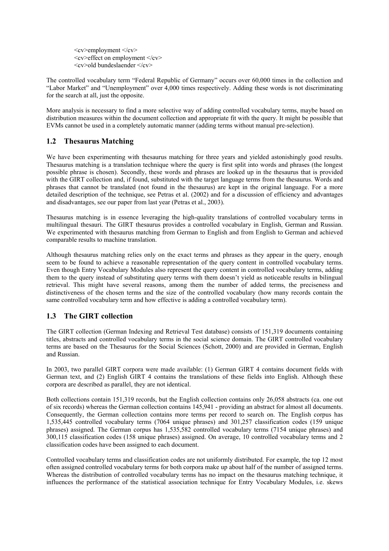<cv>employment </cv>  $\langle cv \rangle$  effect on employment  $\langle cv \rangle$ <cv>old bundeslaender </cv>

The controlled vocabulary term "Federal Republic of Germany" occurs over 60,000 times in the collection and "Labor Market" and "Unemployment" over 4,000 times respectively. Adding these words is not discriminating for the search at all, just the opposite.

More analysis is necessary to find a more selective way of adding controlled vocabulary terms, maybe based on distribution measures within the document collection and appropriate fit with the query. It might be possible that EVMs cannot be used in a completely automatic manner (adding terms without manual pre-selection).

### **1.2 Thesaurus Matching**

We have been experimenting with thesaurus matching for three years and yielded astonishingly good results. Thesaurus matching is a translation technique where the query is first split into words and phrases (the longest possible phrase is chosen). Secondly, these words and phrases are looked up in the thesaurus that is provided with the GIRT collection and, if found, substituted with the target language terms from the thesaurus. Words and phrases that cannot be translated (not found in the thesaurus) are kept in the original language. For a more detailed description of the technique, see Petras et al. (2002) and for a discussion of efficiency and advantages and disadvantages, see our paper from last year (Petras et al., 2003).

Thesaurus matching is in essence leveraging the high-quality translations of controlled vocabulary terms in multilingual thesauri. The GIRT thesaurus provides a controlled vocabulary in English, German and Russian. We experimented with thesaurus matching from German to English and from English to German and achieved comparable results to machine translation.

Although thesaurus matching relies only on the exact terms and phrases as they appear in the query, enough seem to be found to achieve a reasonable representation of the query content in controlled vocabulary terms. Even though Entry Vocabulary Modules also represent the query content in controlled vocabulary terms, adding them to the query instead of substituting query terms with them doesn't yield as noticeable results in bilingual retrieval. This might have several reasons, among them the number of added terms, the preciseness and distinctiveness of the chosen terms and the size of the controlled vocabulary (how many records contain the same controlled vocabulary term and how effective is adding a controlled vocabulary term).

### **1.3 The GIRT collection**

The GIRT collection (German Indexing and Retrieval Test database) consists of 151,319 documents containing titles, abstracts and controlled vocabulary terms in the social science domain. The GIRT controlled vocabulary terms are based on the Thesaurus for the Social Sciences (Schott, 2000) and are provided in German, English and Russian.

In 2003, two parallel GIRT corpora were made available: (1) German GIRT 4 contains document fields with German text, and (2) English GIRT 4 contains the translations of these fields into English. Although these corpora are described as parallel, they are not identical.

Both collections contain 151,319 records, but the English collection contains only 26,058 abstracts (ca. one out of six records) whereas the German collection contains 145,941 - providing an abstract for almost all documents. Consequently, the German collection contains more terms per record to search on. The English corpus has 1,535,445 controlled vocabulary terms (7064 unique phrases) and 301,257 classification codes (159 unique phrases) assigned. The German corpus has 1,535,582 controlled vocabulary terms (7154 unique phrases) and 300,115 classification codes (158 unique phrases) assigned. On average, 10 controlled vocabulary terms and 2 classification codes have been assigned to each document.

Controlled vocabulary terms and classification codes are not uniformly distributed. For example, the top 12 most often assigned controlled vocabulary terms for both corpora make up about half of the number of assigned terms. Whereas the distribution of controlled vocabulary terms has no impact on the thesaurus matching technique, it influences the performance of the statistical association technique for Entry Vocabulary Modules, i.e. skews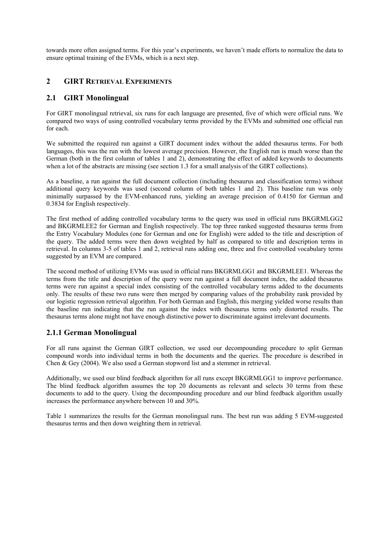towards more often assigned terms. For this year's experiments, we haven't made efforts to normalize the data to ensure optimal training of the EVMs, which is a next step.

### **2 GIRT RETRIEVAL EXPERIMENTS**

### **2.1 GIRT Monolingual**

For GIRT monolingual retrieval, six runs for each language are presented, five of which were official runs. We compared two ways of using controlled vocabulary terms provided by the EVMs and submitted one official run for each.

We submitted the required run against a GIRT document index without the added thesaurus terms. For both languages, this was the run with the lowest average precision. However, the English run is much worse than the German (both in the first column of tables 1 and 2), demonstrating the effect of added keywords to documents when a lot of the abstracts are missing (see section 1.3 for a small analysis of the GIRT collections).

As a baseline, a run against the full document collection (including thesaurus and classification terms) without additional query keywords was used (second column of both tables 1 and 2). This baseline run was only minimally surpassed by the EVM-enhanced runs, yielding an average precision of 0.4150 for German and 0.3834 for English respectively.

The first method of adding controlled vocabulary terms to the query was used in official runs BKGRMLGG2 and BKGRMLEE2 for German and English respectively. The top three ranked suggested thesaurus terms from the Entry Vocabulary Modules (one for German and one for English) were added to the title and description of the query. The added terms were then down weighted by half as compared to title and description terms in retrieval. In columns 3-5 of tables 1 and 2, retrieval runs adding one, three and five controlled vocabulary terms suggested by an EVM are compared.

The second method of utilizing EVMs was used in official runs BKGRMLGG1 and BKGRMLEE1. Whereas the terms from the title and description of the query were run against a full document index, the added thesaurus terms were run against a special index consisting of the controlled vocabulary terms added to the documents only. The results of these two runs were then merged by comparing values of the probability rank provided by our logistic regression retrieval algorithm. For both German and English, this merging yielded worse results than the baseline run indicating that the run against the index with thesaurus terms only distorted results. The thesaurus terms alone might not have enough distinctive power to discriminate against irrelevant documents.

### **2.1.1 German Monolingual**

For all runs against the German GIRT collection, we used our decompounding procedure to split German compound words into individual terms in both the documents and the queries. The procedure is described in Chen & Gey (2004). We also used a German stopword list and a stemmer in retrieval.

Additionally, we used our blind feedback algorithm for all runs except BKGRMLGG1 to improve performance. The blind feedback algorithm assumes the top 20 documents as relevant and selects 30 terms from these documents to add to the query. Using the decompounding procedure and our blind feedback algorithm usually increases the performance anywhere between 10 and 30%.

Table 1 summarizes the results for the German monolingual runs. The best run was adding 5 EVM-suggested thesaurus terms and then down weighting them in retrieval.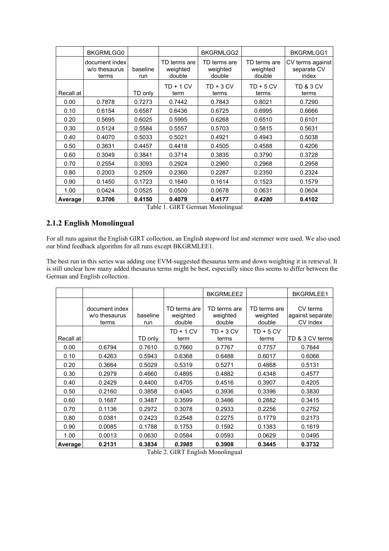|           | <b>BKGRMLGG0</b>                         |                 |                                    | <b>BKGRMLGG2</b>                   |                                    | <b>BKGRMLGG1</b>                         |
|-----------|------------------------------------------|-----------------|------------------------------------|------------------------------------|------------------------------------|------------------------------------------|
|           | document index<br>w/o thesaurus<br>terms | baseline<br>run | TD terms are<br>weighted<br>double | TD terms are<br>weighted<br>double | TD terms are<br>weighted<br>double | CV terms against<br>separate CV<br>index |
| Recall at |                                          | TD only         | TD + 1 CV<br>term                  | $TD + 3 CV$<br>terms               | $TD + 5 CV$<br>terms               | <b>TD &amp; 3 CV</b><br>terms            |
| 0.00      | 0.7878                                   | 0.7273          | 0.7442                             | 0.7843                             | 0.8021                             | 0.7290                                   |
| 0.10      | 0.6154                                   | 0.6587          | 0.6436                             | 0.6725                             | 0.6995                             | 0.6666                                   |
| 0.20      | 0.5695                                   | 0.6025          | 0.5995                             | 0.6268                             | 0.6510                             | 0.6101                                   |
| 0.30      | 0.5124                                   | 0.5584          | 0.5557                             | 0.5703                             | 0.5815                             | 0.5631                                   |
| 0.40      | 0.4070                                   | 0.5033          | 0.5021                             | 0.4921                             | 0.4943                             | 0.5038                                   |
| 0.50      | 0.3631                                   | 0.4457          | 0.4418                             | 0.4505                             | 0.4588                             | 0.4206                                   |
| 0.60      | 0.3049                                   | 0.3841          | 0.3714                             | 0.3835                             | 0.3790                             | 0.3728                                   |
| 0.70      | 0.2554                                   | 0.3093          | 0.2924                             | 0.2960                             | 0.2968                             | 0.2958                                   |
| 0.80      | 0.2003                                   | 0.2509          | 0.2360                             | 0.2287                             | 0.2350                             | 0.2324                                   |
| 0.90      | 0.1450                                   | 0.1723          | 0.1640                             | 0.1614                             | 0.1523                             | 0.1579                                   |
| 1.00      | 0.0424                                   | 0.0525          | 0.0500                             | 0.0678                             | 0.0631                             | 0.0604                                   |
| Average   | 0.3706                                   | 0.4150          | 0.4079                             | 0.4177                             | 0.4280                             | 0.4102                                   |

Table 1. GIRT German Monolingual

### **2.1.2 English Monolingual**

For all runs against the English GIRT collection, an English stopword list and stemmer were used. We also used our blind feedback algorithm for all runs except BKGRMLEE1.

The best run in this series was adding one EVM-suggested thesaurus term and down weighting it in retrieval. It is still unclear how many added thesaurus terms might be best, especially since this seems to differ between the German and English collection.

|           |                                          |                 |                                    | <b>BKGRMLEE2</b>                   |                                    | <b>BKGRMLEE1</b>                         |
|-----------|------------------------------------------|-----------------|------------------------------------|------------------------------------|------------------------------------|------------------------------------------|
|           | document index<br>w/o thesaurus<br>terms | baseline<br>run | TD terms are<br>weighted<br>double | TD terms are<br>weighted<br>double | TD terms are<br>weighted<br>double | CV terms<br>against separate<br>CV index |
| Recall at |                                          | TD only         | $TD + 1 CV$<br>term                | $TD + 3 CV$<br>terms               | $TD + 5 CV$<br>terms               | TD & 3 CV terms                          |
| 0.00      | 0.6794                                   | 0.7610          | 0.7660                             | 0.7767                             | 0.7757                             | 0.7644                                   |
| 0.10      | 0.4263                                   | 0.5943          | 0.6368                             | 0.6488                             | 0.6017                             | 0.6066                                   |
| 0.20      | 0.3664                                   | 0.5029          | 0.5319                             | 0.5271                             | 0.4868                             | 0.5131                                   |
| 0.30      | 0.2979                                   | 0.4660          | 0.4895                             | 0.4882                             | 0.4348                             | 0.4577                                   |
| 0.40      | 0.2429                                   | 0.4400          | 0.4705                             | 0.4516                             | 0.3907                             | 0.4205                                   |
| 0.50      | 0.2160                                   | 0.3858          | 0.4045                             | 0.3936                             | 0.3396                             | 0.3830                                   |
| 0.60      | 0.1687                                   | 0.3487          | 0.3599                             | 0.3486                             | 0.2882                             | 0.3415                                   |
| 0.70      | 0.1136                                   | 0.2972          | 0.3078                             | 0.2933                             | 0.2256                             | 0.2752                                   |
| 0.80      | 0.0381                                   | 0.2423          | 0.2548                             | 0.2275                             | 0.1779                             | 0.2173                                   |
| 0.90      | 0.0085                                   | 0.1788          | 0.1753                             | 0.1592                             | 0.1383                             | 0.1619                                   |
| 1.00      | 0.0013                                   | 0.0630          | 0.0584                             | 0.0593                             | 0.0629                             | 0.0495                                   |
| Average   | 0.2131                                   | 0.3834          | 0.3985                             | 0.3908                             | 0.3445                             | 0.3732                                   |

Table 2. GIRT English Monolingual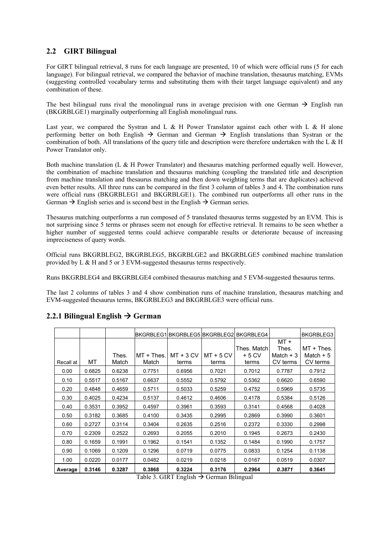## **2.2 GIRT Bilingual**

For GIRT bilingual retrieval, 8 runs for each language are presented, 10 of which were official runs (5 for each language). For bilingual retrieval, we compared the behavior of machine translation, thesaurus matching, EVMs (suggesting controlled vocabulary terms and substituting them with their target language equivalent) and any combination of these.

The best bilingual runs rival the monolingual runs in average precision with one German  $\rightarrow$  English run (BKGRBLGE1) marginally outperforming all English monolingual runs.

Last year, we compared the Systran and L & H Power Translator against each other with L & H alone performing better on both English  $\rightarrow$  German and German  $\rightarrow$  English translations than Systran or the combination of both. All translations of the query title and description were therefore undertaken with the L & H Power Translator only.

Both machine translation (L & H Power Translator) and thesaurus matching performed equally well. However, the combination of machine translation and thesaurus matching (coupling the translated title and description from machine translation and thesaurus matching and then down weighting terms that are duplicates) achieved even better results. All three runs can be compared in the first 3 column of tables 3 and 4. The combination runs were official runs (BKGRBLEG1 and BKGRBLGE1). The combined run outperforms all other runs in the German  $\rightarrow$  English series and is second best in the English  $\rightarrow$  German series.

Thesaurus matching outperforms a run composed of 5 translated thesaurus terms suggested by an EVM. This is not surprising since 5 terms or phrases seem not enough for effective retrieval. It remains to be seen whether a higher number of suggested terms could achieve comparable results or deteriorate because of increasing impreciseness of query words.

Official runs BKGRBLEG2, BKGRBLEG5, BKGRBLGE2 and BKGRBLGE5 combined machine translation provided by L & H and 5 or 3 EVM-suggested thesaurus terms respectively.

Runs BKGRBLEG4 and BKGRBLGE4 combined thesaurus matching and 5 EVM-suggested thesaurus terms.

The last 2 columns of tables 3 and 4 show combination runs of machine translation, thesaurus matching and EVM-suggested thesaurus terms, BKGRBLEG3 and BKGRBLGE3 were official runs.

|           |        |        |            |             |             | BKGRBLEG1 BKGRBLEG5 BKGRBLEG2 BKGRBLEG4 |            | BKGRBLEG3     |
|-----------|--------|--------|------------|-------------|-------------|-----------------------------------------|------------|---------------|
|           |        |        |            |             |             |                                         | $MT +$     |               |
|           |        |        |            |             |             | Thes. Matchl                            | Thes.      | $MT + Thes$ . |
|           |        | Thes.  | MT + Thes. | $MT + 3 CV$ | $MT + 5 CV$ | + 5 CV                                  | Match $+3$ | Match $+5$    |
| Recall at | МT     | Match  | Match      | terms       | terms       | terms                                   | CV terms   | CV terms      |
| 0.00      | 0.6825 | 0.6238 | 0.7751     | 0.6956      | 0.7021      | 0.7012                                  | 0.7787     | 0.7912        |
| 0.10      | 0.5517 | 0.5167 | 0.6637     | 0.5552      | 0.5792      | 0.5362                                  | 0.6620     | 0.6590        |
| 0.20      | 0.4848 | 0.4659 | 0.5711     | 0.5033      | 0.5259      | 0.4752                                  | 0.5969     | 0.5735        |
| 0.30      | 0.4025 | 0.4234 | 0.5137     | 0.4612      | 0.4606      | 0.4178                                  | 0.5384     | 0.5126        |
| 0.40      | 0.3531 | 0.3952 | 0.4597     | 0.3961      | 0.3593      | 0.3141                                  | 0.4568     | 0.4028        |
| 0.50      | 0.3182 | 0.3685 | 0.4100     | 0.3435      | 0.2995      | 0.2869                                  | 0.3990     | 0.3601        |
| 0.60      | 0.2727 | 0.3114 | 0.3404     | 0.2635      | 0.2516      | 0.2372                                  | 0.3330     | 0.2998        |
| 0.70      | 0.2309 | 0.2522 | 0.2693     | 0.2055      | 0.2010      | 0.1945                                  | 0.2673     | 0.2430        |
| 0.80      | 0.1659 | 0.1991 | 0.1962     | 0.1541      | 0.1352      | 0.1484                                  | 0.1990     | 0.1757        |
| 0.90      | 0.1069 | 0.1209 | 0.1296     | 0.0719      | 0.0775      | 0.0833                                  | 0.1254     | 0.1138        |
| 1.00      | 0.0220 | 0.0177 | 0.0482     | 0.0219      | 0.0218      | 0.0167                                  | 0.0519     | 0.0307        |
| Average   | 0.3146 | 0.3287 | 0.3868     | 0.3224      | 0.3176      | 0.2964                                  | 0.3871     | 0.3641        |

### **2.2.1 Bilingual English**  $\rightarrow$  **German**

Table 3. GIRT English  $\rightarrow$  German Bilingual